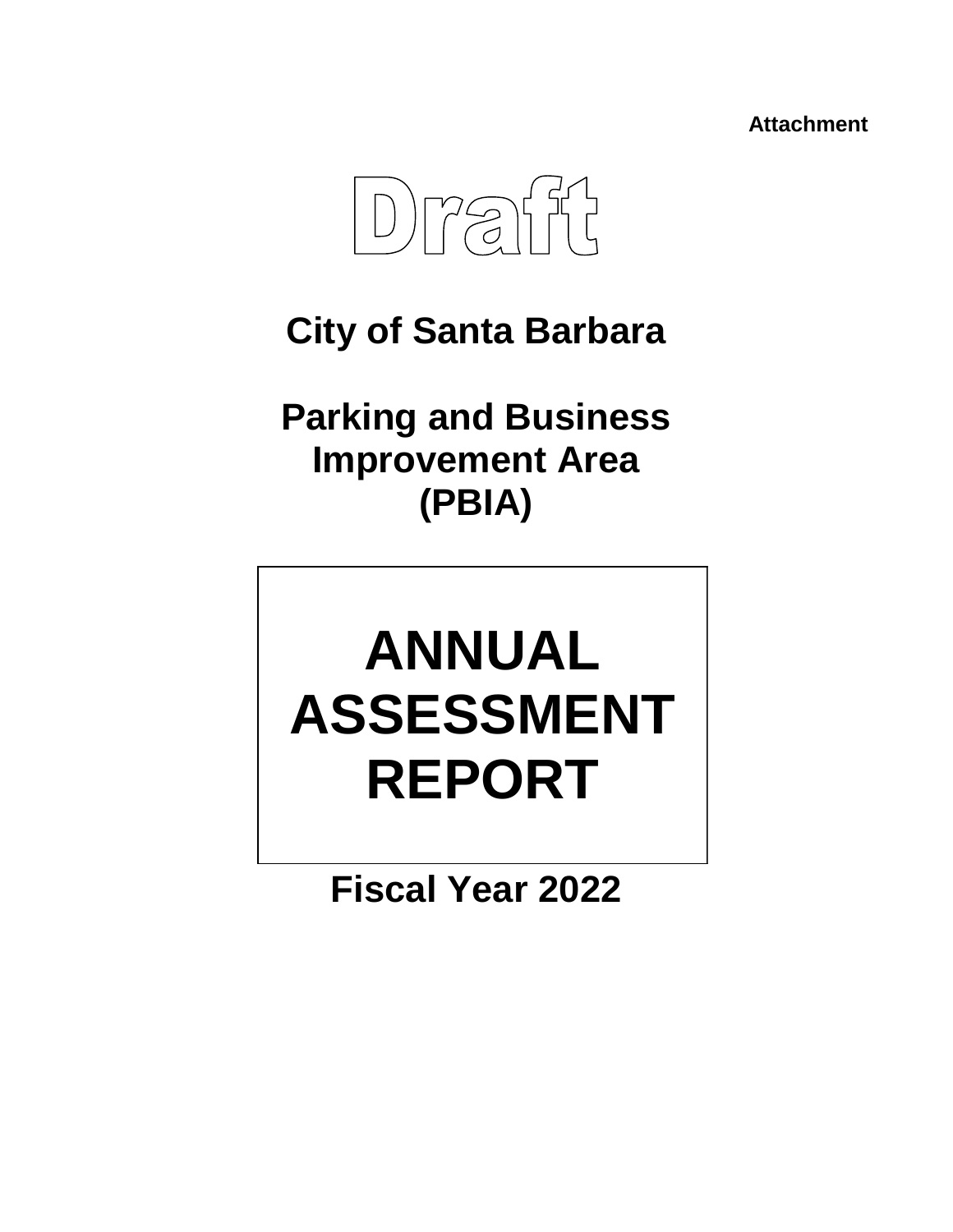**Attachment**



# **City of Santa Barbara**

**Parking and Business Improvement Area (PBIA)**

# **ANNUAL ASSESSMENT REPORT**

**Fiscal Year 2022**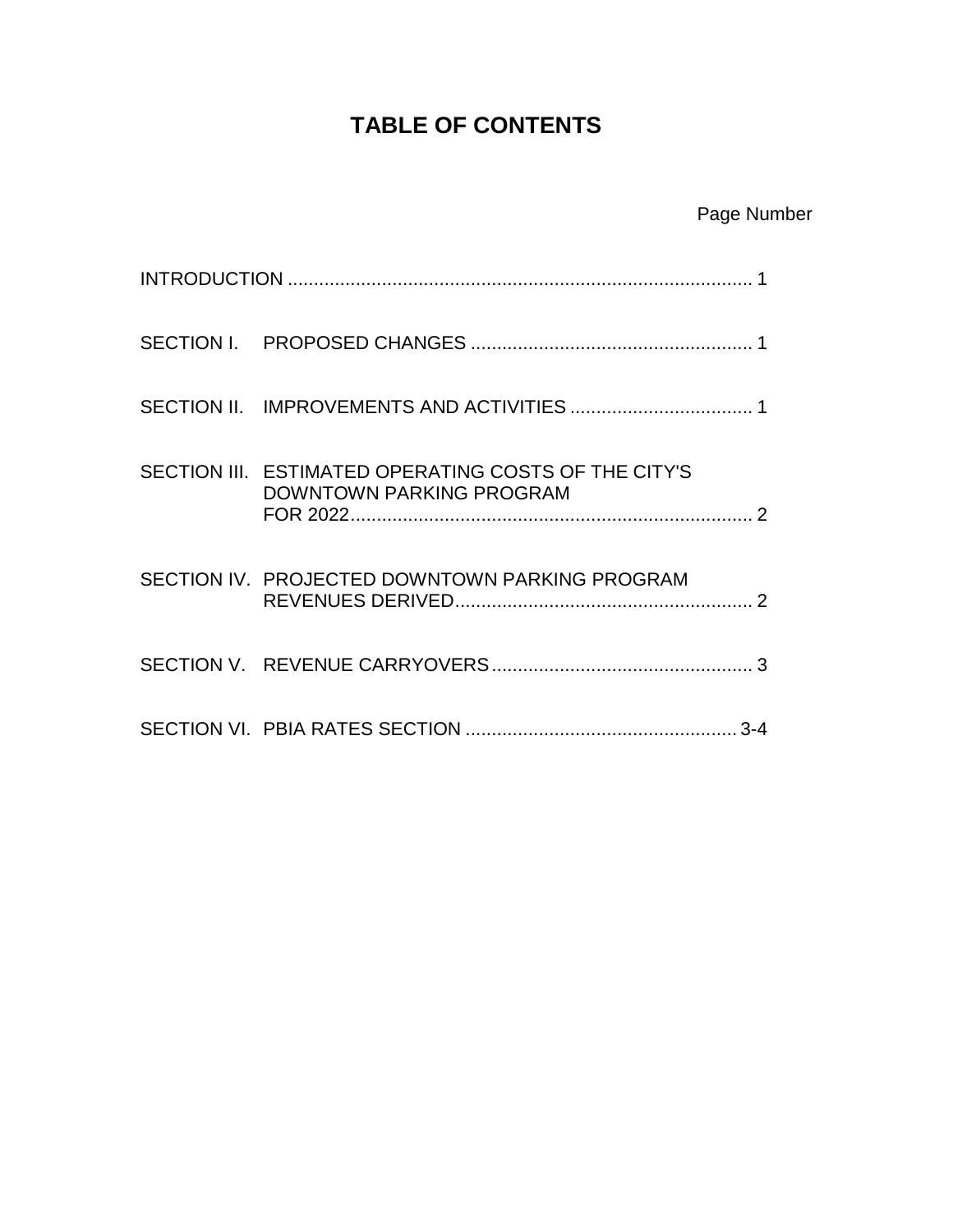## **TABLE OF CONTENTS**

|  | SECTION III. ESTIMATED OPERATING COSTS OF THE CITY'S<br><b>DOWNTOWN PARKING PROGRAM</b> |  |  |
|--|-----------------------------------------------------------------------------------------|--|--|
|  | SECTION IV. PROJECTED DOWNTOWN PARKING PROGRAM                                          |  |  |
|  |                                                                                         |  |  |
|  |                                                                                         |  |  |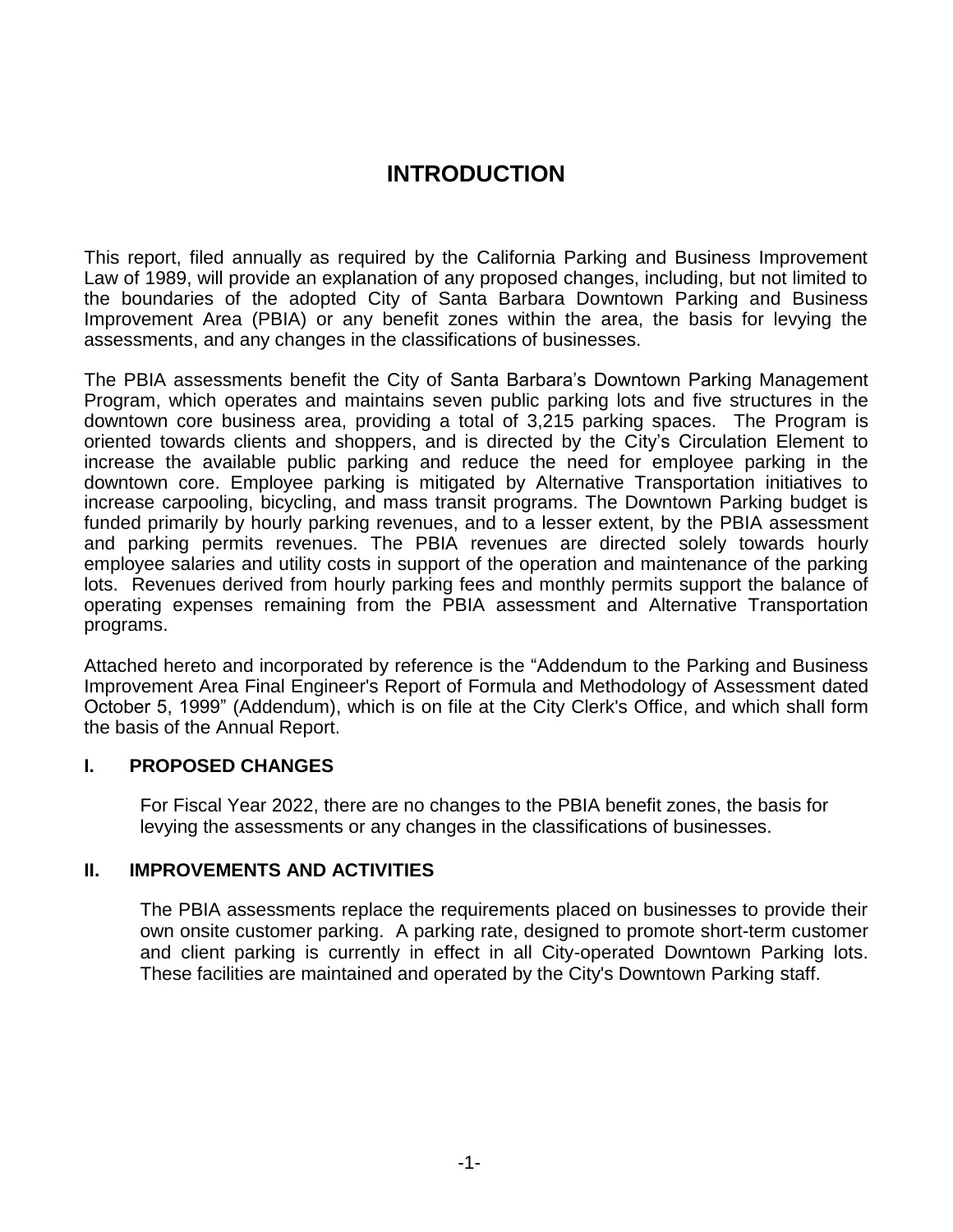### **INTRODUCTION**

This report, filed annually as required by the California Parking and Business Improvement Law of 1989, will provide an explanation of any proposed changes, including, but not limited to the boundaries of the adopted City of Santa Barbara Downtown Parking and Business Improvement Area (PBIA) or any benefit zones within the area, the basis for levying the assessments, and any changes in the classifications of businesses.

The PBIA assessments benefit the City of Santa Barbara's Downtown Parking Management Program, which operates and maintains seven public parking lots and five structures in the downtown core business area, providing a total of 3,215 parking spaces. The Program is oriented towards clients and shoppers, and is directed by the City's Circulation Element to increase the available public parking and reduce the need for employee parking in the downtown core. Employee parking is mitigated by Alternative Transportation initiatives to increase carpooling, bicycling, and mass transit programs. The Downtown Parking budget is funded primarily by hourly parking revenues, and to a lesser extent, by the PBIA assessment and parking permits revenues. The PBIA revenues are directed solely towards hourly employee salaries and utility costs in support of the operation and maintenance of the parking lots. Revenues derived from hourly parking fees and monthly permits support the balance of operating expenses remaining from the PBIA assessment and Alternative Transportation programs.

Attached hereto and incorporated by reference is the "Addendum to the Parking and Business Improvement Area Final Engineer's Report of Formula and Methodology of Assessment dated October 5, 1999" (Addendum), which is on file at the City Clerk's Office, and which shall form the basis of the Annual Report.

#### **I. PROPOSED CHANGES**

For Fiscal Year 2022, there are no changes to the PBIA benefit zones, the basis for levying the assessments or any changes in the classifications of businesses.

#### **II. IMPROVEMENTS AND ACTIVITIES**

The PBIA assessments replace the requirements placed on businesses to provide their own onsite customer parking. A parking rate, designed to promote short-term customer and client parking is currently in effect in all City-operated Downtown Parking lots. These facilities are maintained and operated by the City's Downtown Parking staff.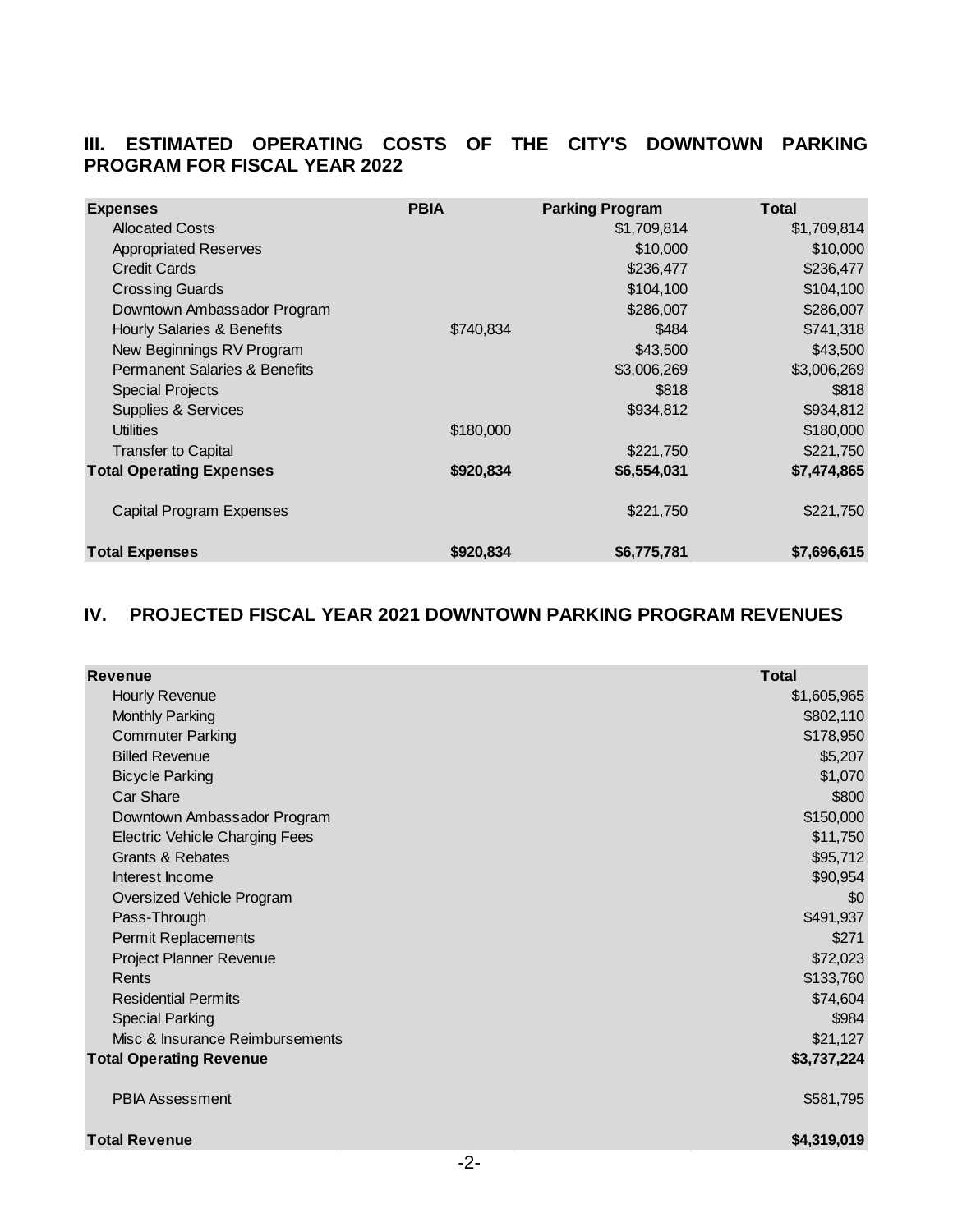#### **III. ESTIMATED OPERATING COSTS OF THE CITY'S DOWNTOWN PARKING PROGRAM FOR FISCAL YEAR 2022**

| <b>Expenses</b>                          | <b>PBIA</b> | <b>Parking Program</b> | <b>Total</b> |
|------------------------------------------|-------------|------------------------|--------------|
| <b>Allocated Costs</b>                   |             | \$1,709,814            | \$1,709,814  |
| <b>Appropriated Reserves</b>             |             | \$10,000               | \$10,000     |
| <b>Credit Cards</b>                      |             | \$236,477              | \$236,477    |
| <b>Crossing Guards</b>                   |             | \$104,100              | \$104,100    |
| Downtown Ambassador Program              |             | \$286,007              | \$286,007    |
| Hourly Salaries & Benefits               | \$740.834   | \$484                  | \$741,318    |
| New Beginnings RV Program                |             | \$43,500               | \$43,500     |
| <b>Permanent Salaries &amp; Benefits</b> |             | \$3,006,269            | \$3,006,269  |
| <b>Special Projects</b>                  |             | \$818                  | \$818        |
| <b>Supplies &amp; Services</b>           |             | \$934,812              | \$934,812    |
| <b>Utilities</b>                         | \$180,000   |                        | \$180,000    |
| <b>Transfer to Capital</b>               |             | \$221,750              | \$221,750    |
| <b>Total Operating Expenses</b>          | \$920,834   | \$6,554,031            | \$7,474,865  |
| <b>Capital Program Expenses</b>          |             | \$221,750              | \$221,750    |
| <b>Total Expenses</b>                    | \$920,834   | \$6,775,781            | \$7,696,615  |

#### **IV. PROJECTED FISCAL YEAR 2021 DOWNTOWN PARKING PROGRAM REVENUES**

| <b>Revenue</b>                        | <b>Total</b> |
|---------------------------------------|--------------|
| Hourly Revenue                        | \$1,605,965  |
| <b>Monthly Parking</b>                | \$802,110    |
| <b>Commuter Parking</b>               | \$178,950    |
| <b>Billed Revenue</b>                 | \$5,207      |
| <b>Bicycle Parking</b>                | \$1,070      |
| <b>Car Share</b>                      | \$800        |
| Downtown Ambassador Program           | \$150,000    |
| <b>Electric Vehicle Charging Fees</b> | \$11,750     |
| <b>Grants &amp; Rebates</b>           | \$95,712     |
| Interest Income                       | \$90,954     |
| Oversized Vehicle Program             | \$0          |
| Pass-Through                          | \$491,937    |
| Permit Replacements                   | \$271        |
| Project Planner Revenue               | \$72,023     |
| Rents                                 | \$133,760    |
| <b>Residential Permits</b>            | \$74,604     |
| <b>Special Parking</b>                | \$984        |
| Misc & Insurance Reimbursements       | \$21,127     |
| <b>Total Operating Revenue</b>        | \$3,737,224  |
| <b>PBIA Assessment</b>                | \$581,795    |
| <b>Total Revenue</b>                  | \$4,319,019  |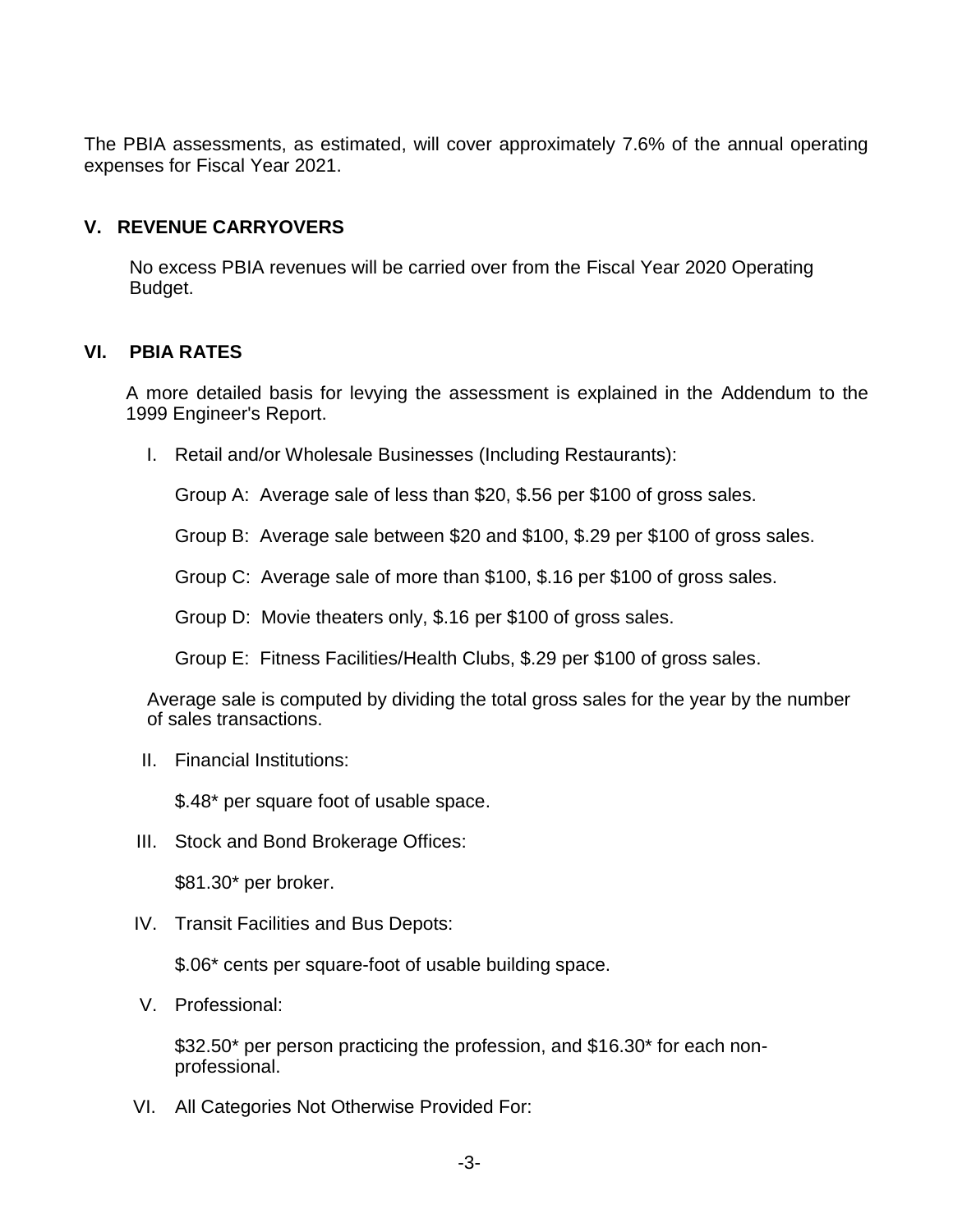The PBIA assessments, as estimated, will cover approximately 7.6% of the annual operating expenses for Fiscal Year 2021.

#### **V. REVENUE CARRYOVERS**

No excess PBIA revenues will be carried over from the Fiscal Year 2020 Operating Budget.

#### **VI. PBIA RATES**

A more detailed basis for levying the assessment is explained in the Addendum to the 1999 Engineer's Report.

I. Retail and/or Wholesale Businesses (Including Restaurants):

Group A: Average sale of less than \$20, \$.56 per \$100 of gross sales.

Group B: Average sale between \$20 and \$100, \$.29 per \$100 of gross sales.

Group C: Average sale of more than \$100, \$.16 per \$100 of gross sales.

Group D: Movie theaters only, \$.16 per \$100 of gross sales.

Group E: Fitness Facilities/Health Clubs, \$.29 per \$100 of gross sales.

Average sale is computed by dividing the total gross sales for the year by the number of sales transactions.

II. Financial Institutions:

\$.48\* per square foot of usable space.

III. Stock and Bond Brokerage Offices:

\$81.30\* per broker.

IV. Transit Facilities and Bus Depots:

\$.06\* cents per square-foot of usable building space.

V. Professional:

\$32.50\* per person practicing the profession, and \$16.30\* for each nonprofessional.

VI. All Categories Not Otherwise Provided For: